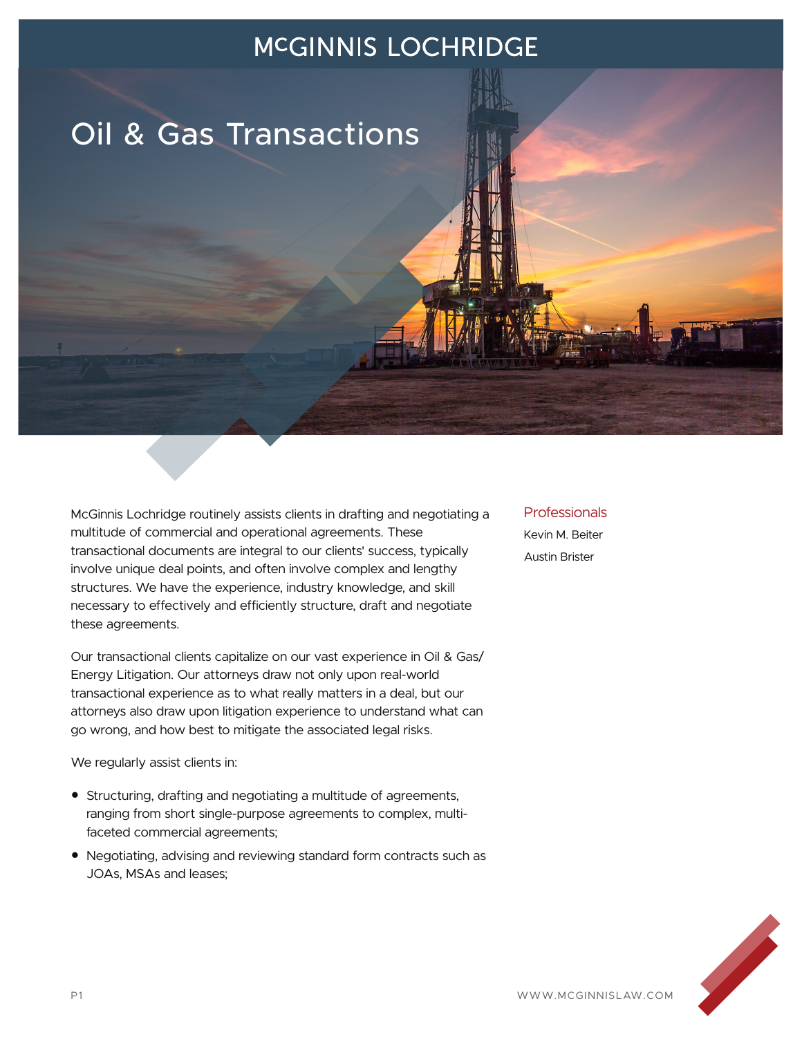# Oil & Gas Transactions

McGinnis Lochridge routinely assists clients in drafting and negotiating a multitude of commercial and operational agreements. These transactional documents are integral to our clients' success, typically involve unique deal points, and often involve complex and lengthy structures. We have the experience, industry knowledge, and skill necessary to effectively and efficiently structure, draft and negotiate these agreements.

Our transactional clients capitalize on our vast experience in Oil & Gas/ Energy Litigation. Our attorneys draw not only upon real-world transactional experience as to what really matters in a deal, but our attorneys also draw upon litigation experience to understand what can go wrong, and how best to mitigate the associated legal risks.

We regularly assist clients in:

- Structuring, drafting and negotiating a multitude of agreements, ranging from short single-purpose agreements to complex, multifaceted commercial agreements;
- Negotiating, advising and reviewing standard form contracts such as JOAs, MSAs and leases;

#### Professionals Kevin M. Beiter Austin Brister

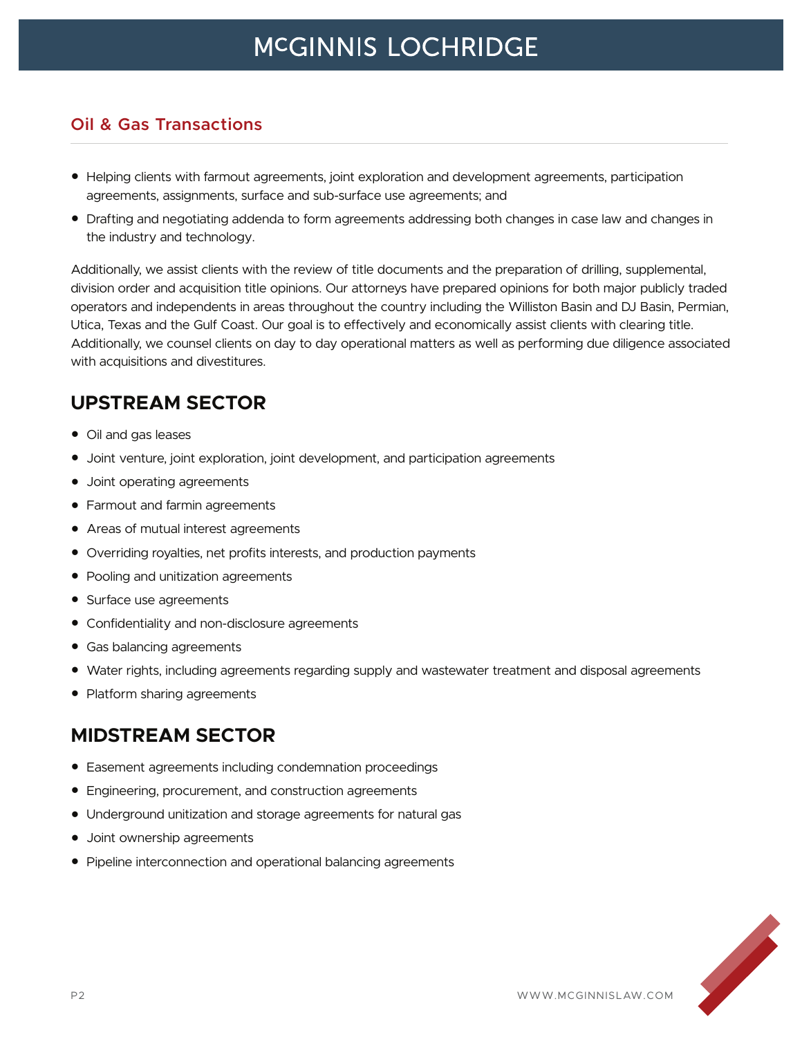#### **Oil & Gas Transactions**

- Helping clients with farmout agreements, joint exploration and development agreements, participation agreements, assignments, surface and sub-surface use agreements; and
- Drafting and negotiating addenda to form agreements addressing both changes in case law and changes in the industry and technology.

Additionally, we assist clients with the review of title documents and the preparation of drilling, supplemental, division order and acquisition title opinions. Our attorneys have prepared opinions for both major publicly traded operators and independents in areas throughout the country including the Williston Basin and DJ Basin, Permian, Utica, Texas and the Gulf Coast. Our goal is to effectively and economically assist clients with clearing title. Additionally, we counsel clients on day to day operational matters as well as performing due diligence associated with acquisitions and divestitures.

### **UPSTREAM SECTOR**

- Oil and gas leases
- Joint venture, joint exploration, joint development, and participation agreements
- Joint operating agreements
- Farmout and farmin agreements
- Areas of mutual interest agreements
- Overriding royalties, net profits interests, and production payments
- Pooling and unitization agreements
- Surface use agreements
- Confidentiality and non-disclosure agreements
- Gas balancing agreements
- Water rights, including agreements regarding supply and wastewater treatment and disposal agreements
- Platform sharing agreements

### **MIDSTREAM SECTOR**

- Easement agreements including condemnation proceedings
- Engineering, procurement, and construction agreements
- Underground unitization and storage agreements for natural gas
- Joint ownership agreements
- Pipeline interconnection and operational balancing agreements

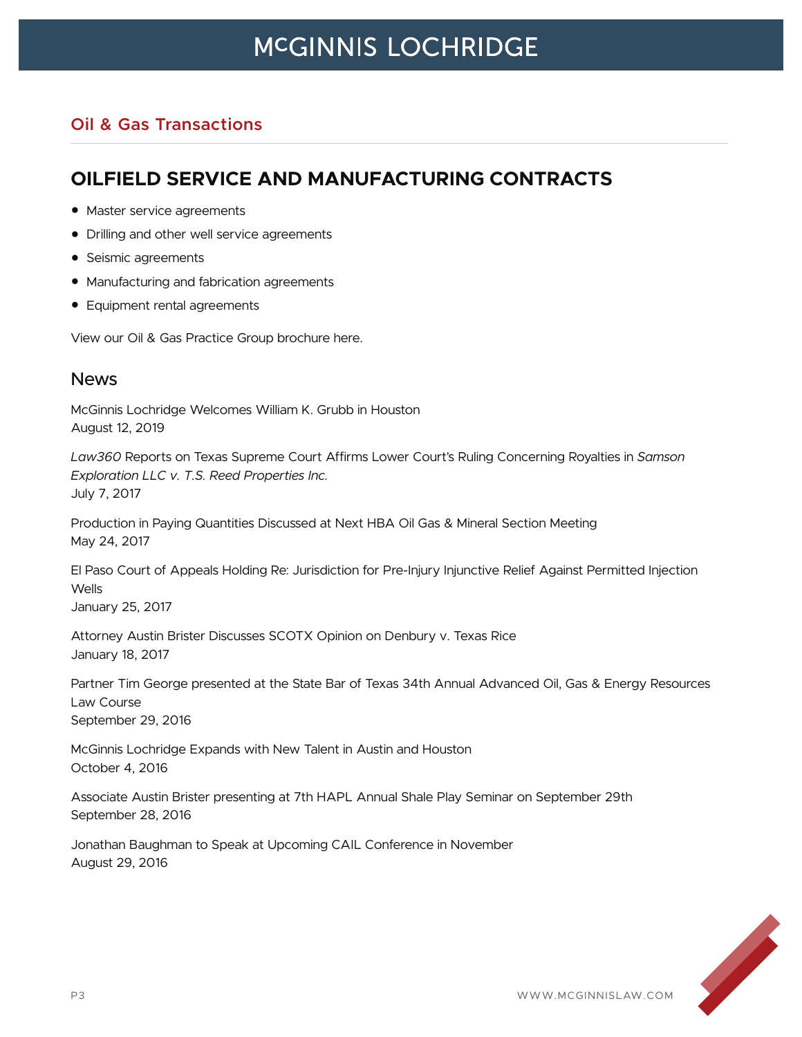### **Oil & Gas Transactions**

### **OILFIELD SERVICE AND MANUFACTURING CONTRACTS**

- Master service agreements
- Drilling and other well service agreements
- Seismic agreements
- Manufacturing and fabrication agreements
- Equipment rental agreements

View our Oil & Gas Practice Group brochure here.

#### News

McGinnis Lochridge Welcomes William K. Grubb in Houston August 12, 2019

*Law360* Reports on Texas Supreme Court Affirms Lower Court's Ruling Concerning Royalties in *Samson Exploration LLC v. T.S. Reed Properties Inc.* July 7, 2017

Production in Paying Quantities Discussed at Next HBA Oil Gas & Mineral Section Meeting May 24, 2017

El Paso Court of Appeals Holding Re: Jurisdiction for Pre-Injury Injunctive Relief Against Permitted Injection Wells

January 25, 2017

Attorney Austin Brister Discusses SCOTX Opinion on Denbury v. Texas Rice January 18, 2017

Partner Tim George presented at the State Bar of Texas 34th Annual Advanced Oil, Gas & Energy Resources Law Course September 29, 2016

McGinnis Lochridge Expands with New Talent in Austin and Houston October 4, 2016

Associate Austin Brister presenting at 7th HAPL Annual Shale Play Seminar on September 29th September 28, 2016

Jonathan Baughman to Speak at Upcoming CAIL Conference in November August 29, 2016